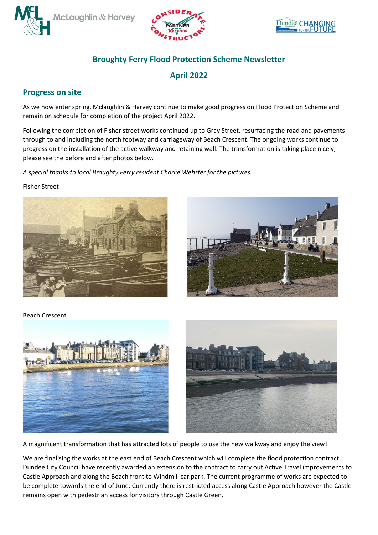





## **Broughty Ferry Flood Protection Scheme Newsletter**

**April 2022** 

## **Progress on site**

As we now enter spring, Mclaughlin & Harvey continue to make good progress on Flood Protection Scheme and remain on schedule for completion of the project April 2022.

Following the completion of Fisher street works continued up to Gray Street, resurfacing the road and pavements through to and including the north footway and carriageway of Beach Crescent. The ongoing works continue to progress on the installation of the active walkway and retaining wall. The transformation is taking place nicely, please see the before and after photos below.

*A special thanks to local Broughty Ferry resident Charlie Webster for the pictures.*

Fisher Street





Beach Crescent





A magnificent transformation that has attracted lots of people to use the new walkway and enjoy the view!

We are finalising the works at the east end of Beach Crescent which will complete the flood protection contract. Dundee City Council have recently awarded an extension to the contract to carry out Active Travel improvements to Castle Approach and along the Beach front to Windmill car park. The current programme of works are expected to be complete towards the end of June. Currently there is restricted access along Castle Approach however the Castle remains open with pedestrian access for visitors through Castle Green.